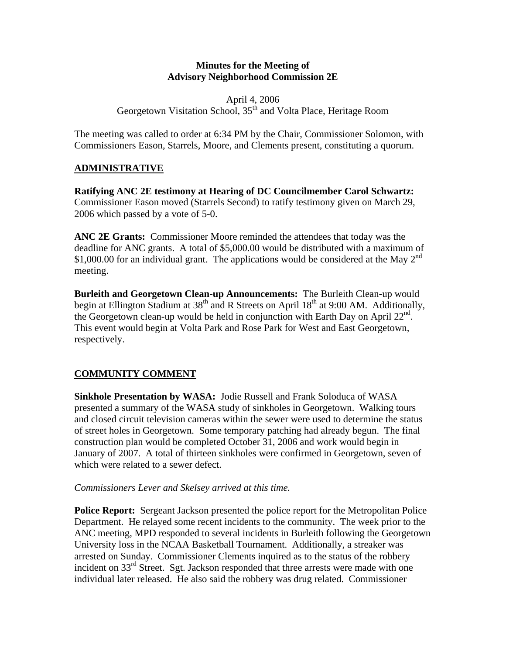## **Minutes for the Meeting of Advisory Neighborhood Commission 2E**

## April 4, 2006 Georgetown Visitation School, 35<sup>th</sup> and Volta Place, Heritage Room

The meeting was called to order at 6:34 PM by the Chair, Commissioner Solomon, with Commissioners Eason, Starrels, Moore, and Clements present, constituting a quorum.

# **ADMINISTRATIVE**

**Ratifying ANC 2E testimony at Hearing of DC Councilmember Carol Schwartz:** Commissioner Eason moved (Starrels Second) to ratify testimony given on March 29, 2006 which passed by a vote of 5-0.

**ANC 2E Grants:** Commissioner Moore reminded the attendees that today was the deadline for ANC grants. A total of \$5,000.00 would be distributed with a maximum of \$1,000.00 for an individual grant. The applications would be considered at the May  $2<sup>nd</sup>$ meeting.

**Burleith and Georgetown Clean-up Announcements:** The Burleith Clean-up would begin at Ellington Stadium at  $38<sup>th</sup>$  and R Streets on April  $18<sup>th</sup>$  at 9:00 AM. Additionally, the Georgetown clean-up would be held in conjunction with Earth Day on April  $22^{nd}$ . This event would begin at Volta Park and Rose Park for West and East Georgetown, respectively.

## **COMMUNITY COMMENT**

**Sinkhole Presentation by WASA:** Jodie Russell and Frank Soloduca of WASA presented a summary of the WASA study of sinkholes in Georgetown. Walking tours and closed circuit television cameras within the sewer were used to determine the status of street holes in Georgetown. Some temporary patching had already begun. The final construction plan would be completed October 31, 2006 and work would begin in January of 2007. A total of thirteen sinkholes were confirmed in Georgetown, seven of which were related to a sewer defect.

#### *Commissioners Lever and Skelsey arrived at this time.*

**Police Report:** Sergeant Jackson presented the police report for the Metropolitan Police Department. He relayed some recent incidents to the community. The week prior to the ANC meeting, MPD responded to several incidents in Burleith following the Georgetown University loss in the NCAA Basketball Tournament. Additionally, a streaker was arrested on Sunday. Commissioner Clements inquired as to the status of the robbery incident on  $33<sup>rd</sup>$  Street. Sgt. Jackson responded that three arrests were made with one individual later released. He also said the robbery was drug related. Commissioner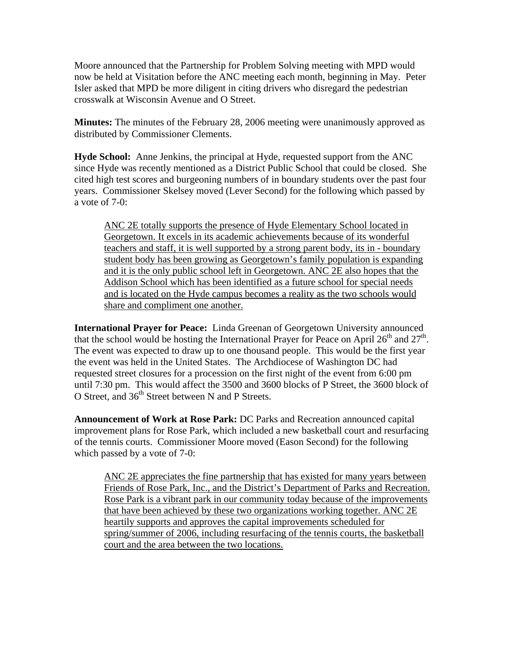Moore announced that the Partnership for Problem Solving meeting with MPD would now be held at Visitation before the ANC meeting each month, beginning in May. Peter Isler asked that MPD be more diligent in citing drivers who disregard the pedestrian crosswalk at Wisconsin Avenue and O Street.

**Minutes:** The minutes of the February 28, 2006 meeting were unanimously approved as distributed by Commissioner Clements.

**Hyde School:** Anne Jenkins, the principal at Hyde, requested support from the ANC since Hyde was recently mentioned as a District Public School that could be closed. She cited high test scores and burgeoning numbers of in boundary students over the past four years. Commissioner Skelsey moved (Lever Second) for the following which passed by a vote of 7-0:

ANC 2E totally supports the presence of Hyde Elementary School located in Georgetown. It excels in its academic achievements because of its wonderful teachers and staff, it is well supported by a strong parent body, its in - boundary student body has been growing as Georgetown's family population is expanding and it is the only public school left in Georgetown. ANC 2E also hopes that the Addison School which has been identified as a future school for special needs and is located on the Hyde campus becomes a reality as the two schools would share and compliment one another.

**International Prayer for Peace:** Linda Greenan of Georgetown University announced that the school would be hosting the International Prayer for Peace on April  $26<sup>th</sup>$  and  $27<sup>th</sup>$ . The event was expected to draw up to one thousand people. This would be the first year the event was held in the United States. The Archdiocese of Washington DC had requested street closures for a procession on the first night of the event from 6:00 pm until 7:30 pm. This would affect the 3500 and 3600 blocks of P Street, the 3600 block of O Street, and  $36<sup>th</sup>$  Street between N and P Streets.

**Announcement of Work at Rose Park:** DC Parks and Recreation announced capital improvement plans for Rose Park, which included a new basketball court and resurfacing of the tennis courts. Commissioner Moore moved (Eason Second) for the following which passed by a vote of 7-0:

ANC 2E appreciates the fine partnership that has existed for many years between Friends of Rose Park, Inc., and the District's Department of Parks and Recreation. Rose Park is a vibrant park in our community today because of the improvements that have been achieved by these two organizations working together. ANC 2E heartily supports and approves the capital improvements scheduled for spring/summer of 2006, including resurfacing of the tennis courts, the basketball court and the area between the two locations.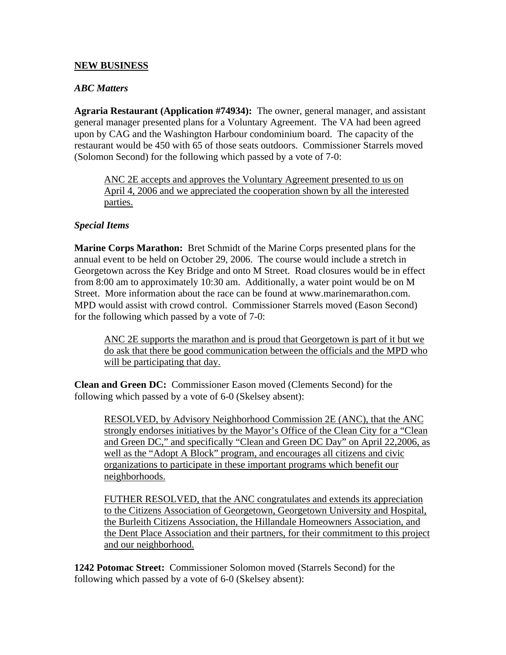## **NEW BUSINESS**

## *ABC Matters*

**Agraria Restaurant (Application #74934):** The owner, general manager, and assistant general manager presented plans for a Voluntary Agreement. The VA had been agreed upon by CAG and the Washington Harbour condominium board. The capacity of the restaurant would be 450 with 65 of those seats outdoors. Commissioner Starrels moved (Solomon Second) for the following which passed by a vote of 7-0:

ANC 2E accepts and approves the Voluntary Agreement presented to us on April 4, 2006 and we appreciated the cooperation shown by all the interested parties.

## *Special Items*

**Marine Corps Marathon:** Bret Schmidt of the Marine Corps presented plans for the annual event to be held on October 29, 2006. The course would include a stretch in Georgetown across the Key Bridge and onto M Street. Road closures would be in effect from 8:00 am to approximately 10:30 am. Additionally, a water point would be on M Street. More information about the race can be found at www.marinemarathon.com. MPD would assist with crowd control. Commissioner Starrels moved (Eason Second) for the following which passed by a vote of 7-0:

ANC 2E supports the marathon and is proud that Georgetown is part of it but we do ask that there be good communication between the officials and the MPD who will be participating that day.

**Clean and Green DC:** Commissioner Eason moved (Clements Second) for the following which passed by a vote of 6-0 (Skelsey absent):

RESOLVED, by Advisory Neighborhood Commission 2E (ANC), that the ANC strongly endorses initiatives by the Mayor's Office of the Clean City for a "Clean and Green DC," and specifically "Clean and Green DC Day" on April 22,2006, as well as the "Adopt A Block" program, and encourages all citizens and civic organizations to participate in these important programs which benefit our neighborhoods.

FUTHER RESOLVED, that the ANC congratulates and extends its appreciation to the Citizens Association of Georgetown, Georgetown University and Hospital, the Burleith Citizens Association, the Hillandale Homeowners Association, and the Dent Place Association and their partners, for their commitment to this project and our neighborhood.

**1242 Potomac Street:** Commissioner Solomon moved (Starrels Second) for the following which passed by a vote of 6-0 (Skelsey absent):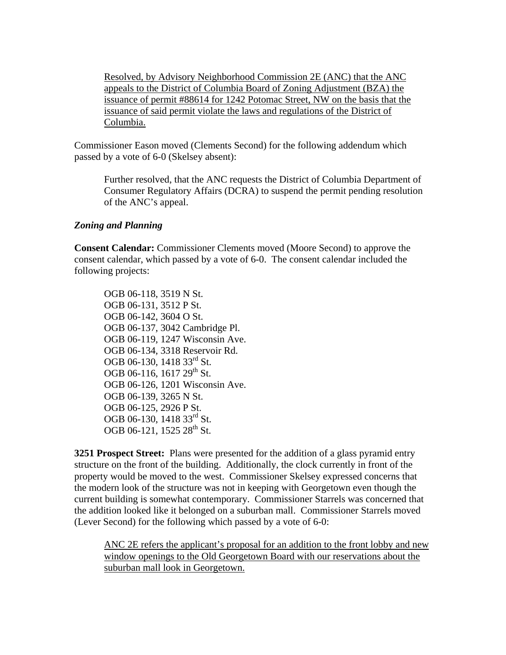Resolved, by Advisory Neighborhood Commission 2E (ANC) that the ANC appeals to the District of Columbia Board of Zoning Adjustment (BZA) the issuance of permit #88614 for 1242 Potomac Street, NW on the basis that the issuance of said permit violate the laws and regulations of the District of Columbia.

Commissioner Eason moved (Clements Second) for the following addendum which passed by a vote of 6-0 (Skelsey absent):

Further resolved, that the ANC requests the District of Columbia Department of Consumer Regulatory Affairs (DCRA) to suspend the permit pending resolution of the ANC's appeal.

#### *Zoning and Planning*

**Consent Calendar:** Commissioner Clements moved (Moore Second) to approve the consent calendar, which passed by a vote of 6-0. The consent calendar included the following projects:

OGB 06-118, 3519 N St. OGB 06-131, 3512 P St. OGB 06-142, 3604 O St. OGB 06-137, 3042 Cambridge Pl. OGB 06-119, 1247 Wisconsin Ave. OGB 06-134, 3318 Reservoir Rd. OGB 06-130, 1418 33<sup>rd</sup> St. OGB 06-116, 1617  $29^{th}$  St. OGB 06-126, 1201 Wisconsin Ave. OGB 06-139, 3265 N St. OGB 06-125, 2926 P St. OGB 06-130, 1418 33<sup>rd</sup> St. OGB 06-121, 1525  $28^{th}$  St.

**3251 Prospect Street:** Plans were presented for the addition of a glass pyramid entry structure on the front of the building. Additionally, the clock currently in front of the property would be moved to the west. Commissioner Skelsey expressed concerns that the modern look of the structure was not in keeping with Georgetown even though the current building is somewhat contemporary. Commissioner Starrels was concerned that the addition looked like it belonged on a suburban mall. Commissioner Starrels moved (Lever Second) for the following which passed by a vote of 6-0:

ANC 2E refers the applicant's proposal for an addition to the front lobby and new window openings to the Old Georgetown Board with our reservations about the suburban mall look in Georgetown.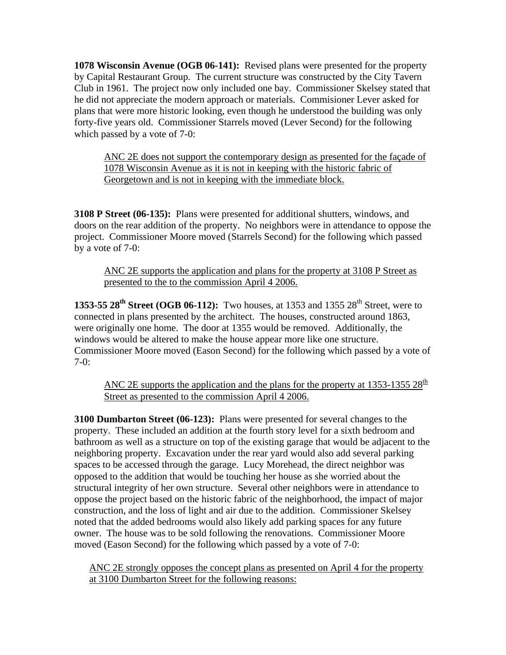**1078 Wisconsin Avenue (OGB 06-141):** Revised plans were presented for the property by Capital Restaurant Group. The current structure was constructed by the City Tavern Club in 1961. The project now only included one bay. Commissioner Skelsey stated that he did not appreciate the modern approach or materials. Commisioner Lever asked for plans that were more historic looking, even though he understood the building was only forty-five years old. Commissioner Starrels moved (Lever Second) for the following which passed by a vote of 7-0:

ANC 2E does not support the contemporary design as presented for the façade of 1078 Wisconsin Avenue as it is not in keeping with the historic fabric of Georgetown and is not in keeping with the immediate block.

**3108 P Street (06-135):** Plans were presented for additional shutters, windows, and doors on the rear addition of the property. No neighbors were in attendance to oppose the project. Commissioner Moore moved (Starrels Second) for the following which passed by a vote of 7-0:

ANC 2E supports the application and plans for the property at 3108 P Street as presented to the to the commission April 4 2006.

**1353-55 28<sup>th</sup> Street (OGB 06-112):** Two houses, at 1353 and 1355 28<sup>th</sup> Street, were to connected in plans presented by the architect. The houses, constructed around 1863, were originally one home. The door at 1355 would be removed. Additionally, the windows would be altered to make the house appear more like one structure. Commissioner Moore moved (Eason Second) for the following which passed by a vote of 7-0:

ANC 2E supports the application and the plans for the property at 1353-1355 28<sup>th</sup> Street as presented to the commission April 4 2006.

**3100 Dumbarton Street (06-123):** Plans were presented for several changes to the property. These included an addition at the fourth story level for a sixth bedroom and bathroom as well as a structure on top of the existing garage that would be adjacent to the neighboring property. Excavation under the rear yard would also add several parking spaces to be accessed through the garage. Lucy Morehead, the direct neighbor was opposed to the addition that would be touching her house as she worried about the structural integrity of her own structure. Several other neighbors were in attendance to oppose the project based on the historic fabric of the neighborhood, the impact of major construction, and the loss of light and air due to the addition. Commissioner Skelsey noted that the added bedrooms would also likely add parking spaces for any future owner. The house was to be sold following the renovations. Commissioner Moore moved (Eason Second) for the following which passed by a vote of 7-0:

ANC 2E strongly opposes the concept plans as presented on April 4 for the property at 3100 Dumbarton Street for the following reasons: